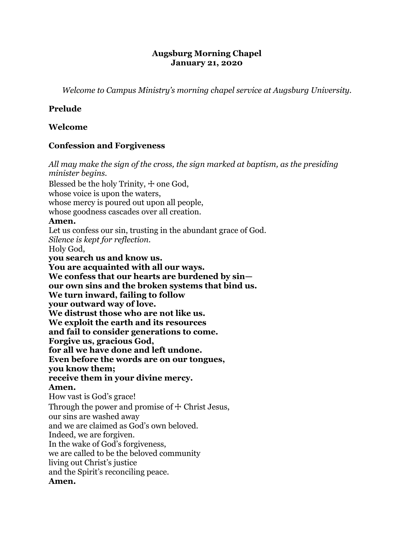#### **Augsburg Morning Chapel January 21, 2020**

*Welcome to Campus Ministry's morning chapel service at Augsburg University.*

## **Prelude**

### **Welcome**

## **Confession and Forgiveness**

*All may make the sign of the cross, the sign marked at baptism, as the presiding minister begins.* Blessed be the holy Trinity,  $+$  one God, whose voice is upon the waters, whose mercy is poured out upon all people, whose goodness cascades over all creation. **Amen.** Let us confess our sin, trusting in the abundant grace of God. *Silence is kept for reflection.* Holy God, **you search us and know us. You are acquainted with all our ways. We confess that our hearts are burdened by sin our own sins and the broken systems that bind us. We turn inward, failing to follow your outward way of love. We distrust those who are not like us. We exploit the earth and its resources and fail to consider generations to come. Forgive us, gracious God, for all we have done and left undone. Even before the words are on our tongues, you know them; receive them in your divine mercy. Amen.** How vast is God's grace! Through the power and promise of  $\pm$  Christ Jesus, our sins are washed away and we are claimed as God's own beloved. Indeed, we are forgiven. In the wake of God's forgiveness, we are called to be the beloved community living out Christ's justice and the Spirit's reconciling peace. **Amen.**